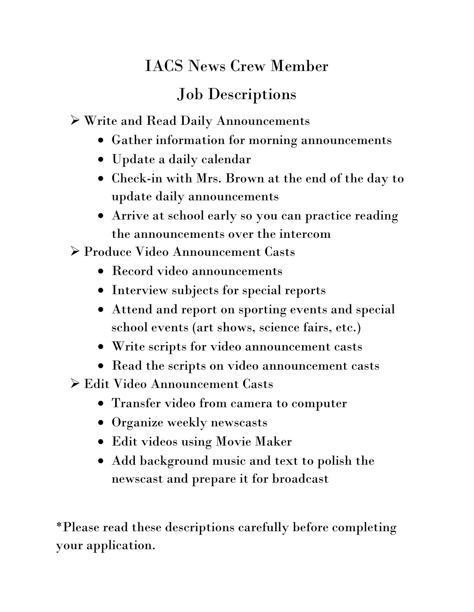## IACS News Crew Member

## Job Descriptions

Write and Read Daily Announcements

- Gather information for morning announcements
- Update a daily calendar
- Check-in with Mrs. Brown at the end of the day to update daily announcements
- Arrive at school early so you can practice reading the announcements over the intercom

Produce Video Announcement Casts

- Record video announcements
- Interview subjects for special reports
- Attend and report on sporting events and special school events (art shows, science fairs, etc.)
- Write scripts for video announcement casts
- Read the scripts on video announcement casts
- Edit Video Announcement Casts
	- Transfer video from camera to computer
	- Organize weekly newscasts
	- Edit videos using Movie Maker
	- Add background music and text to polish the newscast and prepare it for broadcast

\*Please read these descriptions carefully before completing your application.